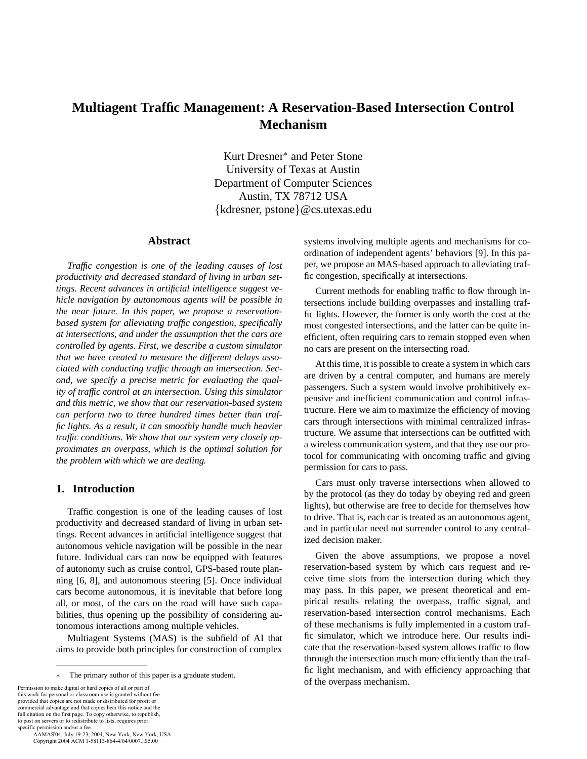# **Multiagent Traffic Management: A Reservation-Based Intersection Control Mechanism**

Kurt Dresner<sup>∗</sup> and Peter Stone University of Texas at Austin Department of Computer Sciences Austin, TX 78712 USA {kdresner, pstone}@cs.utexas.edu

#### **Abstract**

*Traffic congestion is one of the leading causes of lost productivity and decreased standard of living in urban settings. Recent advances in artificial intelligence suggest vehicle navigation by autonomous agents will be possible in the near future. In this paper, we propose a reservationbased system for alleviating traffic congestion, specifically at intersections, and under the assumption that the cars are controlled by agents. First, we describe a custom simulator that we have created to measure the different delays associated with conducting traffic through an intersection. Second, we specify a precise metric for evaluating the quality of traffic control at an intersection. Using this simulator and this metric, we show that our reservation-based system can perform two to three hundred times better than traffic lights. As a result, it can smoothly handle much heavier traffic conditions. We show that our system very closely approximates an overpass, which is the optimal solution for the problem with which we are dealing.*

### **1. Introduction**

Traffic congestion is one of the leading causes of lost productivity and decreased standard of living in urban settings. Recent advances in artificial intelligence suggest that autonomous vehicle navigation will be possible in the near future. Individual cars can now be equipped with features of autonomy such as cruise control, GPS-based route planning [6, 8], and autonomous steering [5]. Once individual cars become autonomous, it is inevitable that before long all, or most, of the cars on the road will have such capabilities, thus opening up the possibility of considering autonomous interactions among multiple vehicles.

Multiagent Systems (MAS) is the subfield of AI that aims to provide both principles for construction of complex

Permission to make digital or hard copies of all or part of exercise executive states. The overpass mechanism. this work for personal or classroom use is granted without fee provided that copies are not made or distributed for profit or commercial advantage and that copies bear this notice and the full citation on the first page. To copy otherwise, to republish, to post on servers or to redistribute to lists, requires prior specific permission and/or a fee.

 AAMAS'04, July 19-23, 2004, New York, New York, USA. Copyright 2004 ACM 1-58113-864-4/04/0007...\$5.00

systems involving multiple agents and mechanisms for coordination of independent agents' behaviors [9]. In this paper, we propose an MAS-based approach to alleviating traffic congestion, specifically at intersections.

Current methods for enabling traffic to flow through intersections include building overpasses and installing traffic lights. However, the former is only worth the cost at the most congested intersections, and the latter can be quite inefficient, often requiring cars to remain stopped even when no cars are present on the intersecting road.

At this time, it is possible to create a system in which cars are driven by a central computer, and humans are merely passengers. Such a system would involve prohibitively expensive and inefficient communication and control infrastructure. Here we aim to maximize the efficiency of moving cars through intersections with minimal centralized infrastructure. We assume that intersections can be outfitted with a wireless communication system, and that they use our protocol for communicating with oncoming traffic and giving permission for cars to pass.

Cars must only traverse intersections when allowed to by the protocol (as they do today by obeying red and green lights), but otherwise are free to decide for themselves how to drive. That is, each car is treated as an autonomous agent, and in particular need not surrender control to any centralized decision maker.

Given the above assumptions, we propose a novel reservation-based system by which cars request and receive time slots from the intersection during which they may pass. In this paper, we present theoretical and empirical results relating the overpass, traffic signal, and reservation-based intersection control mechanisms. Each of these mechanisms is fully implemented in a custom traffic simulator, which we introduce here. Our results indicate that the reservation-based system allows traffic to flow through the intersection much more efficiently than the traffic light mechanism, and with efficiency approaching that

<sup>∗</sup> The primary author of this paper is a graduate student.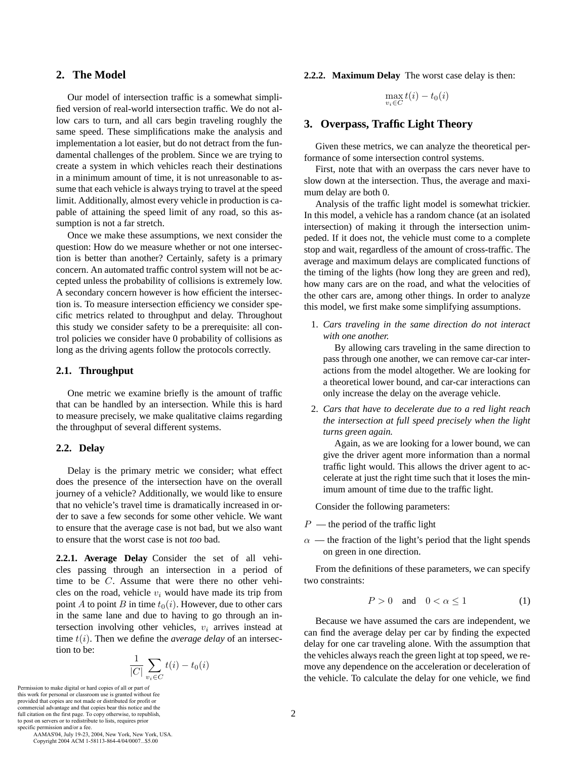# **2. The Model**

Our model of intersection traffic is a somewhat simplified version of real-world intersection traffic. We do not allow cars to turn, and all cars begin traveling roughly the same speed. These simplifications make the analysis and implementation a lot easier, but do not detract from the fundamental challenges of the problem. Since we are trying to create a system in which vehicles reach their destinations in a minimum amount of time, it is not unreasonable to assume that each vehicle is always trying to travel at the speed limit. Additionally, almost every vehicle in production is capable of attaining the speed limit of any road, so this assumption is not a far stretch.

Once we make these assumptions, we next consider the question: How do we measure whether or not one intersection is better than another? Certainly, safety is a primary concern. An automated traffic control system will not be accepted unless the probability of collisions is extremely low. A secondary concern however is how efficient the intersection is. To measure intersection efficiency we consider specific metrics related to throughput and delay. Throughout this study we consider safety to be a prerequisite: all control policies we consider have 0 probability of collisions as long as the driving agents follow the protocols correctly.

# **2.1. Throughput**

One metric we examine briefly is the amount of traffic that can be handled by an intersection. While this is hard to measure precisely, we make qualitative claims regarding the throughput of several different systems.

# **2.2. Delay**

Delay is the primary metric we consider; what effect does the presence of the intersection have on the overall journey of a vehicle? Additionally, we would like to ensure that no vehicle's travel time is dramatically increased in order to save a few seconds for some other vehicle. We want to ensure that the average case is not bad, but we also want to ensure that the worst case is not *too* bad.

**2.2.1. Average Delay** Consider the set of all vehicles passing through an intersection in a period of time to be C. Assume that were there no other vehicles on the road, vehicle  $v_i$  would have made its trip from point A to point B in time  $t_0(i)$ . However, due to other cars in the same lane and due to having to go through an intersection involving other vehicles,  $v_i$  arrives instead at time  $t(i)$ . Then we define the *average delay* of an intersection to be:

$$
\frac{1}{|C|} \sum_{v_i \in C} t(i) - t_0(i)
$$

Permission to make digital or hard copies of all or part of this work for personal or classroom use is granted without fee provided that copies are not made or distributed for profit or commercial advantage and that copies bear this notice and the full citation on the first page. To copy otherwise, to republish, to post on servers or to redistribute to lists, requires prior specific permission and/or a fee.

#### AAMAS'04, July 19-23, 2004, New York, New York, USA. Copyright 2004 ACM 1-58113-864-4/04/0007...\$5.00

$$
\max_{v_i \in C} t(i) - t_0(i)
$$

# **3. Overpass, Traffic Light Theory**

Given these metrics, we can analyze the theoretical performance of some intersection control systems.

First, note that with an overpass the cars never have to slow down at the intersection. Thus, the average and maximum delay are both 0.

Analysis of the traffic light model is somewhat trickier. In this model, a vehicle has a random chance (at an isolated intersection) of making it through the intersection unimpeded. If it does not, the vehicle must come to a complete stop and wait, regardless of the amount of cross-traffic. The average and maximum delays are complicated functions of the timing of the lights (how long they are green and red), how many cars are on the road, and what the velocities of the other cars are, among other things. In order to analyze this model, we first make some simplifying assumptions.

1. *Cars traveling in the same direction do not interact with one another.*

By allowing cars traveling in the same direction to pass through one another, we can remove car-car interactions from the model altogether. We are looking for a theoretical lower bound, and car-car interactions can only increase the delay on the average vehicle.

2. *Cars that have to decelerate due to a red light reach the intersection at full speed precisely when the light turns green again.*

Again, as we are looking for a lower bound, we can give the driver agent more information than a normal traffic light would. This allows the driver agent to accelerate at just the right time such that it loses the minimum amount of time due to the traffic light.

Consider the following parameters:

 $P$  — the period of the traffic light

 $\alpha$  — the fraction of the light's period that the light spends on green in one direction.

From the definitions of these parameters, we can specify two constraints:

$$
P > 0 \quad \text{and} \quad 0 < \alpha \le 1 \tag{1}
$$

Because we have assumed the cars are independent, we can find the average delay per car by finding the expected delay for one car traveling alone. With the assumption that the vehicles always reach the green light at top speed, we remove any dependence on the acceleration or deceleration of the vehicle. To calculate the delay for one vehicle, we find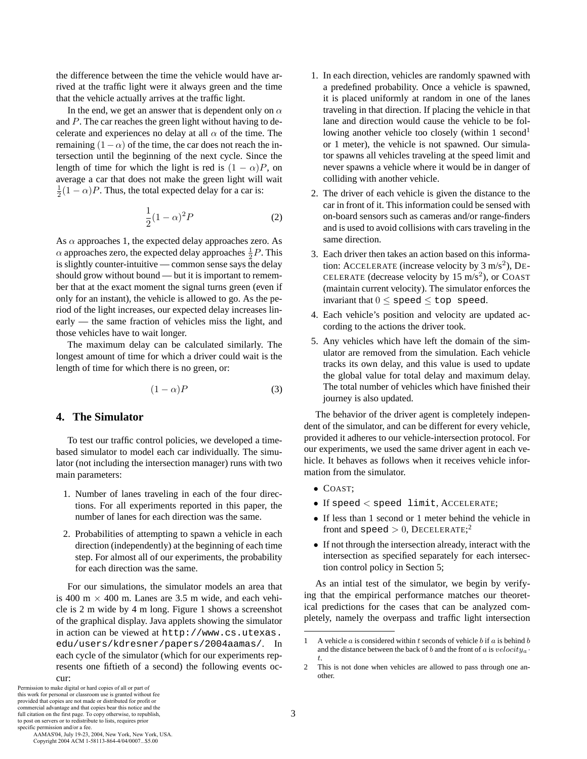the difference between the time the vehicle would have arrived at the traffic light were it always green and the time that the vehicle actually arrives at the traffic light.

In the end, we get an answer that is dependent only on  $\alpha$ and P. The car reaches the green light without having to decelerate and experiences no delay at all  $\alpha$  of the time. The remaining  $(1 - \alpha)$  of the time, the car does not reach the intersection until the beginning of the next cycle. Since the length of time for which the light is red is  $(1 - \alpha)P$ , on average a car that does not make the green light will wait  $\frac{1}{2}(1 - \alpha)P$ . Thus, the total expected delay for a car is:

$$
\frac{1}{2}(1-\alpha)^2 P \tag{2}
$$

As  $\alpha$  approaches 1, the expected delay approaches zero. As  $\alpha$  approaches zero, the expected delay approaches  $\frac{1}{2}P$ . This is slightly counter-intuitive — common sense says the delay should grow without bound — but it is important to remember that at the exact moment the signal turns green (even if only for an instant), the vehicle is allowed to go. As the period of the light increases, our expected delay increases linearly — the same fraction of vehicles miss the light, and those vehicles have to wait longer.

The maximum delay can be calculated similarly. The longest amount of time for which a driver could wait is the length of time for which there is no green, or:

$$
(1 - \alpha)P \tag{3}
$$

# **4. The Simulator**

To test our traffic control policies, we developed a timebased simulator to model each car individually. The simulator (not including the intersection manager) runs with two main parameters:

- 1. Number of lanes traveling in each of the four directions. For all experiments reported in this paper, the number of lanes for each direction was the same.
- 2. Probabilities of attempting to spawn a vehicle in each direction (independently) at the beginning of each time step. For almost all of our experiments, the probability for each direction was the same.

For our simulations, the simulator models an area that is 400 m  $\times$  400 m. Lanes are 3.5 m wide, and each vehicle is 2 m wide by 4 m long. Figure 1 shows a screenshot of the graphical display. Java applets showing the simulator in action can be viewed at http://www.cs.utexas. edu/users/kdresner/papers/2004aamas/. In each cycle of the simulator (which for our experiments represents one fiftieth of a second) the following events occur:

Permission to make digital or hard copies of all or part of this work for personal or classroom use is granted without fee provided that copies are not made or distributed for profit or commercial advantage and that copies bear this notice and the full citation on the first page. To copy otherwise, to republish, to post on servers or to redistribute to lists, requires prior specific permission and/or a fee. AAMAS'04, July 19-23, 2004, New York, New York, USA.

Copyright 2004 ACM 1-58113-864-4/04/0007...\$5.00

- 1. In each direction, vehicles are randomly spawned with a predefined probability. Once a vehicle is spawned, it is placed uniformly at random in one of the lanes traveling in that direction. If placing the vehicle in that lane and direction would cause the vehicle to be following another vehicle too closely (within 1 second<sup>1</sup> or 1 meter), the vehicle is not spawned. Our simulator spawns all vehicles traveling at the speed limit and never spawns a vehicle where it would be in danger of colliding with another vehicle.
- 2. The driver of each vehicle is given the distance to the car in front of it. This information could be sensed with on-board sensors such as cameras and/or range-finders and is used to avoid collisions with cars traveling in the same direction.
- 3. Each driver then takes an action based on this information: ACCELERATE (increase velocity by  $3 \text{ m/s}^2$ ), DE-CELERATE (decrease velocity by 15 m/s<sup>2</sup>), or COAST (maintain current velocity). The simulator enforces the invariant that  $0 \leq$  speed  $\leq$  top speed.
- 4. Each vehicle's position and velocity are updated according to the actions the driver took.
- 5. Any vehicles which have left the domain of the simulator are removed from the simulation. Each vehicle tracks its own delay, and this value is used to update the global value for total delay and maximum delay. The total number of vehicles which have finished their journey is also updated.

The behavior of the driver agent is completely independent of the simulator, and can be different for every vehicle, provided it adheres to our vehicle-intersection protocol. For our experiments, we used the same driver agent in each vehicle. It behaves as follows when it receives vehicle information from the simulator.

- COAST;
- If speed < speed limit, ACCELERATE;
- If less than 1 second or 1 meter behind the vehicle in front and  $speed > 0$ ,  $DecelERATE; ^2$
- If not through the intersection already, interact with the intersection as specified separately for each intersection control policy in Section 5;

As an intial test of the simulator, we begin by verifying that the empirical performance matches our theoretical predictions for the cases that can be analyzed completely, namely the overpass and traffic light intersection

<sup>1</sup> A vehicle a is considered within t seconds of vehicle b if a is behind b and the distance between the back of b and the front of a is  $velocity_a$ . t.

<sup>2</sup> This is not done when vehicles are allowed to pass through one another.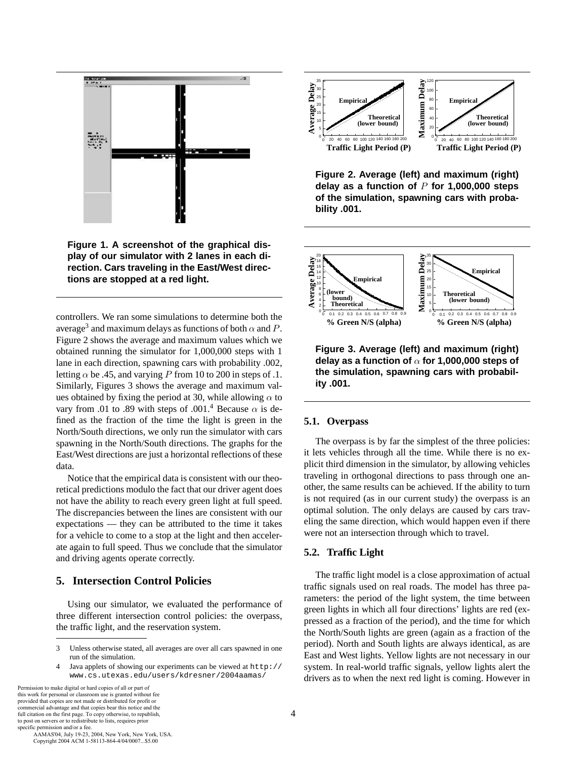

**Figure 1. A screenshot of the graphical display of our simulator with 2 lanes in each direction. Cars traveling in the East/West directions are stopped at a red light.**

controllers. We ran some simulations to determine both the average<sup>3</sup> and maximum delays as functions of both  $\alpha$  and P. Figure 2 shows the average and maximum values which we obtained running the simulator for 1,000,000 steps with 1 lane in each direction, spawning cars with probability .002, letting  $\alpha$  be .45, and varying P from 10 to 200 in steps of .1. Similarly, Figures 3 shows the average and maximum values obtained by fixing the period at 30, while allowing  $\alpha$  to vary from .01 to .89 with steps of .001.<sup>4</sup> Because  $\alpha$  is defined as the fraction of the time the light is green in the North/South directions, we only run the simulator with cars spawning in the North/South directions. The graphs for the East/West directions are just a horizontal reflections of these data.

Notice that the empirical data is consistent with our theoretical predictions modulo the fact that our driver agent does not have the ability to reach every green light at full speed. The discrepancies between the lines are consistent with our expectations — they can be attributed to the time it takes for a vehicle to come to a stop at the light and then accelerate again to full speed. Thus we conclude that the simulator and driving agents operate correctly.

# **5. Intersection Control Policies**

Using our simulator, we evaluated the performance of three different intersection control policies: the overpass, the traffic light, and the reservation system.

Permission to make digital or hard copies of all or part of this work for personal or classroom use is granted without fee provided that copies are not made or distributed for profit or commercial advantage and that copies bear this notice and the full citation on the first page. To copy otherwise, to republish, to post on servers or to redistribute to lists, requires prior specific permission and/or a fee.



**Figure 2. Average (left) and maximum (right) delay as a function of** P **for 1,000,000 steps of the simulation, spawning cars with probability .001.**



**Figure 3. Average (left) and maximum (right) delay as a function of** α **for 1,000,000 steps of the simulation, spawning cars with probability .001.**

#### **5.1. Overpass**

The overpass is by far the simplest of the three policies: it lets vehicles through all the time. While there is no explicit third dimension in the simulator, by allowing vehicles traveling in orthogonal directions to pass through one another, the same results can be achieved. If the ability to turn is not required (as in our current study) the overpass is an optimal solution. The only delays are caused by cars traveling the same direction, which would happen even if there were not an intersection through which to travel.

# **5.2. Traffic Light**

The traffic light model is a close approximation of actual traffic signals used on real roads. The model has three parameters: the period of the light system, the time between green lights in which all four directions' lights are red (expressed as a fraction of the period), and the time for which the North/South lights are green (again as a fraction of the period). North and South lights are always identical, as are East and West lights. Yellow lights are not necessary in our system. In real-world traffic signals, yellow lights alert the drivers as to when the next red light is coming. However in

<sup>3</sup> Unless otherwise stated, all averages are over all cars spawned in one run of the simulation.

<sup>4</sup> Java applets of showing our experiments can be viewed at http:// www.cs.utexas.edu/users/kdresner/2004aamas/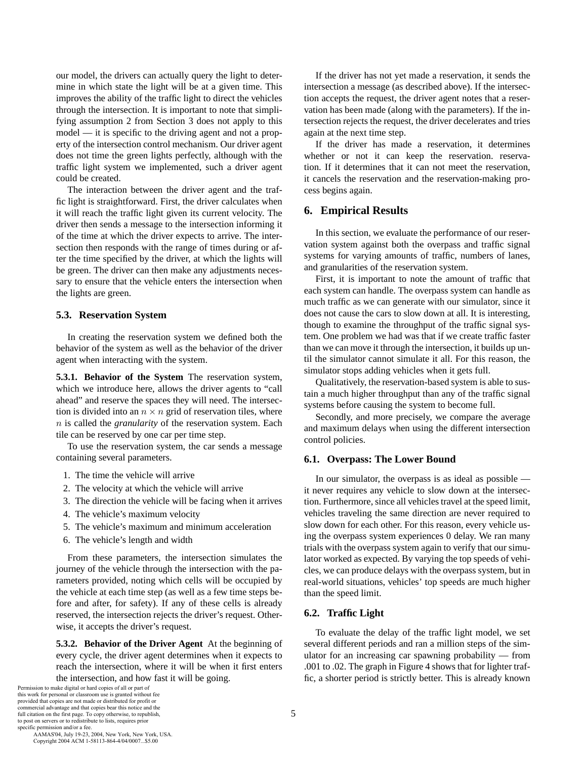our model, the drivers can actually query the light to determine in which state the light will be at a given time. This improves the ability of the traffic light to direct the vehicles through the intersection. It is important to note that simplifying assumption 2 from Section 3 does not apply to this model — it is specific to the driving agent and not a property of the intersection control mechanism. Our driver agent does not time the green lights perfectly, although with the traffic light system we implemented, such a driver agent could be created.

The interaction between the driver agent and the traffic light is straightforward. First, the driver calculates when it will reach the traffic light given its current velocity. The driver then sends a message to the intersection informing it of the time at which the driver expects to arrive. The intersection then responds with the range of times during or after the time specified by the driver, at which the lights will be green. The driver can then make any adjustments necessary to ensure that the vehicle enters the intersection when the lights are green.

#### **5.3. Reservation System**

In creating the reservation system we defined both the behavior of the system as well as the behavior of the driver agent when interacting with the system.

**5.3.1. Behavior of the System** The reservation system, which we introduce here, allows the driver agents to "call ahead" and reserve the spaces they will need. The intersection is divided into an  $n \times n$  grid of reservation tiles, where n is called the *granularity* of the reservation system. Each tile can be reserved by one car per time step.

To use the reservation system, the car sends a message containing several parameters.

- 1. The time the vehicle will arrive
- 2. The velocity at which the vehicle will arrive
- 3. The direction the vehicle will be facing when it arrives
- 4. The vehicle's maximum velocity
- 5. The vehicle's maximum and minimum acceleration
- 6. The vehicle's length and width

From these parameters, the intersection simulates the journey of the vehicle through the intersection with the parameters provided, noting which cells will be occupied by the vehicle at each time step (as well as a few time steps before and after, for safety). If any of these cells is already reserved, the intersection rejects the driver's request. Otherwise, it accepts the driver's request.

**5.3.2. Behavior of the Driver Agent** At the beginning of every cycle, the driver agent determines when it expects to reach the intersection, where it will be when it first enters the intersection, and how fast it will be going.

Permission to make digital or hard copies of all or part of this work for personal or classroom use is granted without fee provided that copies are not made or distributed for profit or commercial advantage and that copies bear this notice and the full citation on the first page. To copy otherwise, to republish, to post on servers or to redistribute to lists, requires prior specific permission and/or a fee.

If the driver has not yet made a reservation, it sends the intersection a message (as described above). If the intersection accepts the request, the driver agent notes that a reservation has been made (along with the parameters). If the intersection rejects the request, the driver decelerates and tries again at the next time step.

If the driver has made a reservation, it determines whether or not it can keep the reservation. reservation. If it determines that it can not meet the reservation, it cancels the reservation and the reservation-making process begins again.

# **6. Empirical Results**

In this section, we evaluate the performance of our reservation system against both the overpass and traffic signal systems for varying amounts of traffic, numbers of lanes, and granularities of the reservation system.

First, it is important to note the amount of traffic that each system can handle. The overpass system can handle as much traffic as we can generate with our simulator, since it does not cause the cars to slow down at all. It is interesting, though to examine the throughput of the traffic signal system. One problem we had was that if we create traffic faster than we can move it through the intersection, it builds up until the simulator cannot simulate it all. For this reason, the simulator stops adding vehicles when it gets full.

Qualitatively, the reservation-based system is able to sustain a much higher throughput than any of the traffic signal systems before causing the system to become full.

Secondly, and more precisely, we compare the average and maximum delays when using the different intersection control policies.

#### **6.1. Overpass: The Lower Bound**

In our simulator, the overpass is as ideal as possible it never requires any vehicle to slow down at the intersection. Furthermore, since all vehicles travel at the speed limit, vehicles traveling the same direction are never required to slow down for each other. For this reason, every vehicle using the overpass system experiences 0 delay. We ran many trials with the overpass system again to verify that our simulator worked as expected. By varying the top speeds of vehicles, we can produce delays with the overpass system, but in real-world situations, vehicles' top speeds are much higher than the speed limit.

#### **6.2. Traffic Light**

To evaluate the delay of the traffic light model, we set several different periods and ran a million steps of the simulator for an increasing car spawning probability — from .001 to .02. The graph in Figure 4 shows that for lighter traffic, a shorter period is strictly better. This is already known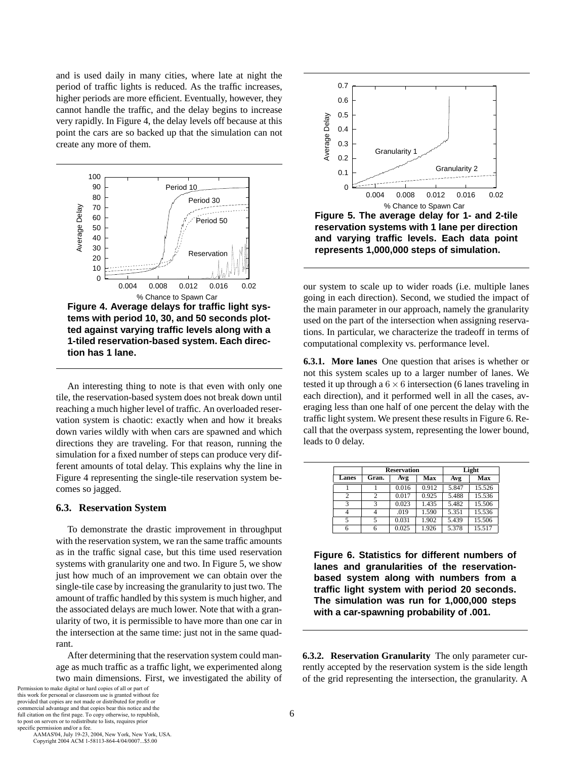and is used daily in many cities, where late at night the period of traffic lights is reduced. As the traffic increases, higher periods are more efficient. Eventually, however, they cannot handle the traffic, and the delay begins to increase very rapidly. In Figure 4, the delay levels off because at this point the cars are so backed up that the simulation can not create any more of them.



**Figure 4. Average delays for traffic light systems with period 10, 30, and 50 seconds plotted against varying traffic levels along with a 1-tiled reservation-based system. Each direction has 1 lane.**

An interesting thing to note is that even with only one tile, the reservation-based system does not break down until reaching a much higher level of traffic. An overloaded reservation system is chaotic: exactly when and how it breaks down varies wildly with when cars are spawned and which directions they are traveling. For that reason, running the simulation for a fixed number of steps can produce very different amounts of total delay. This explains why the line in Figure 4 representing the single-tile reservation system becomes so jagged.

#### **6.3. Reservation System**

To demonstrate the drastic improvement in throughput with the reservation system, we ran the same traffic amounts as in the traffic signal case, but this time used reservation systems with granularity one and two. In Figure 5, we show just how much of an improvement we can obtain over the single-tile case by increasing the granularity to just two. The amount of traffic handled by this system is much higher, and the associated delays are much lower. Note that with a granularity of two, it is permissible to have more than one car in the intersection at the same time: just not in the same quadrant.

After determining that the reservation system could manage as much traffic as a traffic light, we experimented along two main dimensions. First, we investigated the ability of

Permission to make digital or hard copies of all or part of this work for personal or classroom use is granted without fee provided that copies are not made or distributed for profit or commercial advantage and that copies bear this notice and the full citation on the first page. To copy otherwise, to republish, to post on servers or to redistribute to lists, requires prior specific permission and/or a fee.



our system to scale up to wider roads (i.e. multiple lanes going in each direction). Second, we studied the impact of the main parameter in our approach, namely the granularity used on the part of the intersection when assigning reservations. In particular, we characterize the tradeoff in terms of computational complexity vs. performance level.

**represents 1,000,000 steps of simulation.**

**6.3.1. More lanes** One question that arises is whether or not this system scales up to a larger number of lanes. We tested it up through a  $6 \times 6$  intersection (6 lanes traveling in each direction), and it performed well in all the cases, averaging less than one half of one percent the delay with the traffic light system. We present these results in Figure 6. Recall that the overpass system, representing the lower bound, leads to 0 delay.

|                       | <b>Reservation</b> |       |       | Light |        |
|-----------------------|--------------------|-------|-------|-------|--------|
| Lanes                 | Gran.              | Avg   | Max   | Avg   | Max    |
|                       |                    | 0.016 | 0.912 | 5.847 | 15.526 |
| $\mathfrak{D}$        | $\mathfrak{D}$     | 0.017 | 0.925 | 5.488 | 15.536 |
| $\mathbf{\Omega}$     | ς                  | 0.023 | 1.435 | 5.482 | 15.506 |
|                       |                    | .019  | 1.590 | 5.351 | 15.536 |
| $\tilde{\phantom{a}}$ | 5                  | 0.031 | 1.902 | 5.439 | 15.506 |
|                       |                    | 0.025 | 1.926 | 5.378 | 15.517 |

**Figure 6. Statistics for different numbers of lanes and granularities of the reservationbased system along with numbers from a traffic light system with period 20 seconds. The simulation was run for 1,000,000 steps with a car-spawning probability of .001.**

**6.3.2. Reservation Granularity** The only parameter currently accepted by the reservation system is the side length of the grid representing the intersection, the granularity. A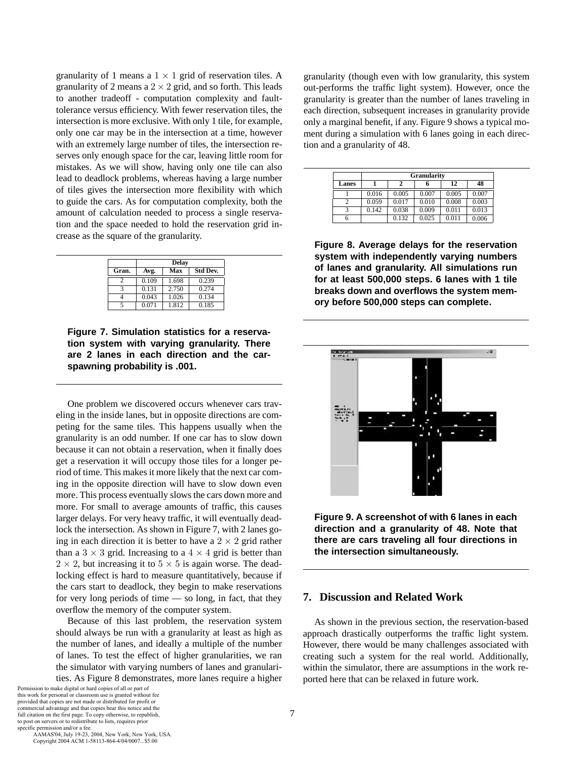granularity of 1 means a  $1 \times 1$  grid of reservation tiles. A granularity of 2 means a  $2 \times 2$  grid, and so forth. This leads to another tradeoff - computation complexity and faulttolerance versus efficiency. With fewer reservation tiles, the intersection is more exclusive. With only 1 tile, for example, only one car may be in the intersection at a time, however with an extremely large number of tiles, the intersection reserves only enough space for the car, leaving little room for mistakes. As we will show, having only one tile can also lead to deadlock problems, whereas having a large number of tiles gives the intersection more flexibility with which to guide the cars. As for computation complexity, both the amount of calculation needed to process a single reservation and the space needed to hold the reservation grid increase as the square of the granularity.

|       | Delay |       |                 |  |  |
|-------|-------|-------|-----------------|--|--|
| Gran. | Avg.  | Max   | <b>Std Dev.</b> |  |  |
|       | 0.109 | 1.698 | 0.239           |  |  |
|       | 0.131 | 2.750 | 0.274           |  |  |
|       | 0.043 | 1.026 | 0.134           |  |  |
|       | 0.071 | 1.812 | 0.185           |  |  |

**Figure 7. Simulation statistics for a reservation system with varying granularity. There are 2 lanes in each direction and the carspawning probability is .001.**

One problem we discovered occurs whenever cars traveling in the inside lanes, but in opposite directions are competing for the same tiles. This happens usually when the granularity is an odd number. If one car has to slow down because it can not obtain a reservation, when it finally does get a reservation it will occupy those tiles for a longer period of time. This makes it more likely that the next car coming in the opposite direction will have to slow down even more. This process eventually slows the cars down more and more. For small to average amounts of traffic, this causes larger delays. For very heavy traffic, it will eventually deadlock the intersection. As shown in Figure 7, with 2 lanes going in each direction it is better to have a  $2 \times 2$  grid rather than a  $3 \times 3$  grid. Increasing to a  $4 \times 4$  grid is better than  $2 \times 2$ , but increasing it to  $5 \times 5$  is again worse. The deadlocking effect is hard to measure quantitatively, because if the cars start to deadlock, they begin to make reservations for very long periods of time — so long, in fact, that they overflow the memory of the computer system.

Because of this last problem, the reservation system should always be run with a granularity at least as high as the number of lanes, and ideally a multiple of the number of lanes. To test the effect of higher granularities, we ran the simulator with varying numbers of lanes and granularities. As Figure 8 demonstrates, more lanes require a higher

Permission to make digital or hard copies of all or part of this work for personal or classroom use is granted without fee provided that copies are not made or distributed for profit or commercial advantage and that copies bear this notice and the full citation on the first page. To copy otherwise, to republish, to post on servers or to redistribute to lists, requires prior specific permission and/or a fee.

AAMAS'04, July 19-23, 2004, New York, New York, USA.

Copyright 2004 ACM 1-58113-864-4/04/0007...\$5.00

granularity (though even with low granularity, this system out-performs the traffic light system). However, once the granularity is greater than the number of lanes traveling in each direction, subsequent increases in granularity provide only a marginal benefit, if any. Figure 9 shows a typical moment during a simulation with 6 lanes going in each direction and a granularity of 48.

|              | <b>Granularity</b> |       |       |       |       |  |  |
|--------------|--------------------|-------|-------|-------|-------|--|--|
| <b>Lanes</b> |                    |       |       | 12    | 48    |  |  |
|              | 0.016              | 0.005 | 0.007 | 0.005 | 0.007 |  |  |
| ົາ           | 0.059              | 0.017 | 0.010 | 0.008 | 0.003 |  |  |
|              | 0.142              | 0.038 | 0.009 | 0.011 | 0.013 |  |  |
|              |                    | 0.132 | 0.025 | 0.011 | 0.006 |  |  |

**Figure 8. Average delays for the reservation system with independently varying numbers of lanes and granularity. All simulations run for at least 500,000 steps. 6 lanes with 1 tile breaks down and overflows the system memory before 500,000 steps can complete.**



**Figure 9. A screenshot of with 6 lanes in each direction and a granularity of 48. Note that there are cars traveling all four directions in the intersection simultaneously.**

# **7. Discussion and Related Work**

As shown in the previous section, the reservation-based approach drastically outperforms the traffic light system. However, there would be many challenges associated with creating such a system for the real world. Additionally, within the simulator, there are assumptions in the work reported here that can be relaxed in future work.